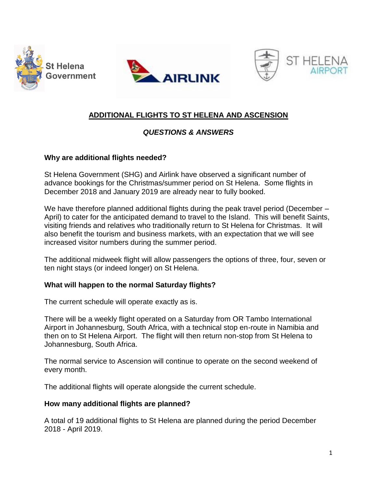





# **ADDITIONAL FLIGHTS TO ST HELENA AND ASCENSION**

## *QUESTIONS & ANSWERS*

### **Why are additional flights needed?**

St Helena Government (SHG) and Airlink have observed a significant number of advance bookings for the Christmas/summer period on St Helena. Some flights in December 2018 and January 2019 are already near to fully booked.

We have therefore planned additional flights during the peak travel period (December – April) to cater for the anticipated demand to travel to the Island. This will benefit Saints, visiting friends and relatives who traditionally return to St Helena for Christmas. It will also benefit the tourism and business markets, with an expectation that we will see increased visitor numbers during the summer period.

The additional midweek flight will allow passengers the options of three, four, seven or ten night stays (or indeed longer) on St Helena.

### **What will happen to the normal Saturday flights?**

The current schedule will operate exactly as is.

There will be a weekly flight operated on a Saturday from OR Tambo International Airport in Johannesburg, South Africa, with a technical stop en-route in Namibia and then on to St Helena Airport. The flight will then return non-stop from St Helena to Johannesburg, South Africa.

The normal service to Ascension will continue to operate on the second weekend of every month.

The additional flights will operate alongside the current schedule.

### **How many additional flights are planned?**

A total of 19 additional flights to St Helena are planned during the period December 2018 - April 2019.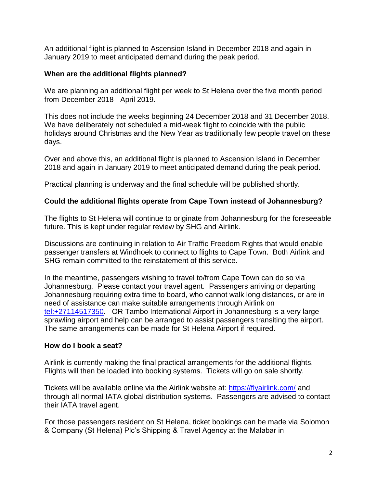An additional flight is planned to Ascension Island in December 2018 and again in January 2019 to meet anticipated demand during the peak period.

### **When are the additional flights planned?**

We are planning an additional flight per week to St Helena over the five month period from December 2018 - April 2019.

This does not include the weeks beginning 24 December 2018 and 31 December 2018. We have deliberately not scheduled a mid-week flight to coincide with the public holidays around Christmas and the New Year as traditionally few people travel on these days.

Over and above this, an additional flight is planned to Ascension Island in December 2018 and again in January 2019 to meet anticipated demand during the peak period.

Practical planning is underway and the final schedule will be published shortly.

### **Could the additional flights operate from Cape Town instead of Johannesburg?**

The flights to St Helena will continue to originate from Johannesburg for the foreseeable future. This is kept under regular review by SHG and Airlink.

Discussions are continuing in relation to Air Traffic Freedom Rights that would enable passenger transfers at Windhoek to connect to flights to Cape Town. Both Airlink and SHG remain committed to the reinstatement of this service.

In the meantime, passengers wishing to travel to/from Cape Town can do so via Johannesburg. Please contact your travel agent. Passengers arriving or departing Johannesburg requiring extra time to board, who cannot walk long distances, or are in need of assistance can make suitable arrangements through Airlink on [tel:+27114517350.](tel:+27114517350) OR Tambo International Airport in Johannesburg is a very large sprawling airport and help can be arranged to assist passengers transiting the airport. The same arrangements can be made for St Helena Airport if required.

### **How do I book a seat?**

Airlink is currently making the final practical arrangements for the additional flights. Flights will then be loaded into booking systems. Tickets will go on sale shortly.

Tickets will be available online via the Airlink website at: <https://flyairlink.com/> and through all normal IATA global distribution systems. Passengers are advised to contact their IATA travel agent.

For those passengers resident on St Helena, ticket bookings can be made via Solomon & Company (St Helena) Plc's Shipping & Travel Agency at the Malabar in